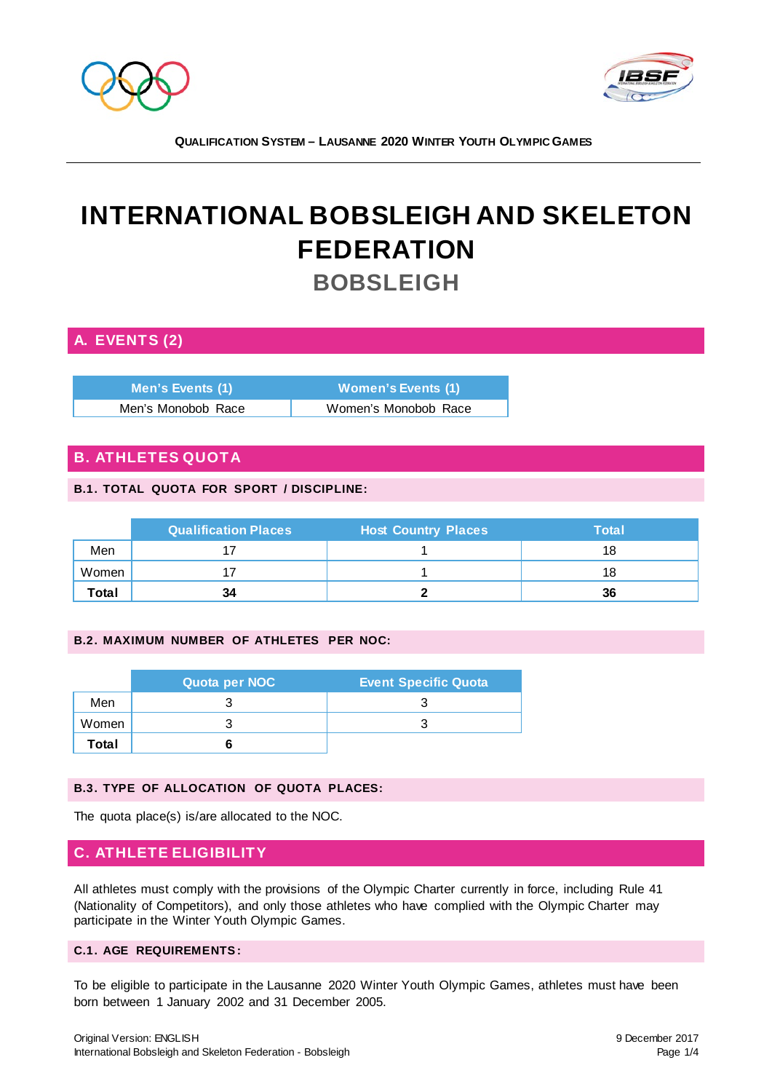



# **INTERNATIONAL BOBSLEIGH AND SKELETON FEDERATION BOBSLEIGH**

# **A. EVENTS (2)**

| Men's Events (1)   | <b>Women's Events (1)</b> |
|--------------------|---------------------------|
| Men's Monobob Race | Women's Monobob Race      |

## **B. ATHLETES QUOTA**

#### **B.1. TOTAL QUOTA FOR SPORT / DISCIPLINE:**

|       | <b>Qualification Places</b> | <b>Host Country Places</b> | Total |
|-------|-----------------------------|----------------------------|-------|
| Men   |                             |                            | 18    |
| Women |                             |                            | 18    |
| Total | 34                          |                            | 36    |

#### **B.2. MAXIMUM NUMBER OF ATHLETES PER NOC:**

|       | Quota per NOC | <b>Event Specific Quota</b> |
|-------|---------------|-----------------------------|
| Men   |               |                             |
| Women |               |                             |
| Total |               |                             |

## **B.3. TYPE OF ALLOCATION OF QUOTA PLACES:**

The quota place(s) is/are allocated to the NOC.

## **C. ATHLETE ELIGIBILITY**

All athletes must comply with the provisions of the Olympic Charter currently in force, including Rule 41 (Nationality of Competitors), and only those athletes who have complied with the Olympic Charter may participate in the Winter Youth Olympic Games.

#### **C.1. AGE REQUIREMENTS :**

To be eligible to participate in the Lausanne 2020 Winter Youth Olympic Games, athletes must have been born between 1 January 2002 and 31 December 2005.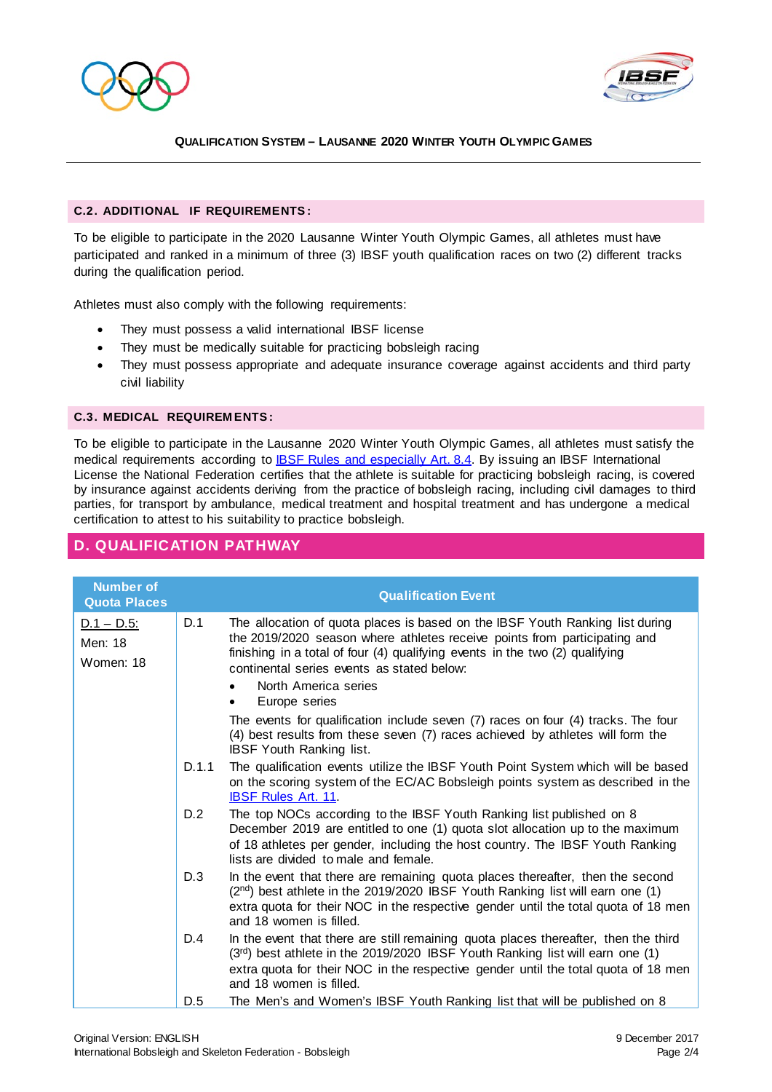



#### **C.2. ADDITIONAL IF REQUIREMENTS :**

To be eligible to participate in the 2020 Lausanne Winter Youth Olympic Games, all athletes must have participated and ranked in a minimum of three (3) IBSF youth qualification races on two (2) different tracks during the qualification period.

Athletes must also comply with the following requirements:

- They must possess a valid international IBSF license
- They must be medically suitable for practicing bobsleigh racing
- They must possess appropriate and adequate insurance coverage against accidents and third party civil liability

#### **C.3. MEDICAL REQUIREM ENTS :**

To be eligible to participate in the Lausanne 2020 Winter Youth Olympic Games, all athletes must satisfy the medical requirements according to **IBSF Rules and especially Art. 8.4.** By issuing an IBSF International License the National Federation certifies that the athlete is suitable for practicing bobsleigh racing, is covered by insurance against accidents deriving from the practice of bobsleigh racing, including civil damages to third parties, for transport by ambulance, medical treatment and hospital treatment and has undergone a medical certification to attest to his suitability to practice bobsleigh.

## **D. QUALIFICATION PATHWAY**

| <b>Number of</b><br><b>Quota Places</b> |       | <b>Qualification Event</b>                                                                                                                                                                                                                                                                                                        |
|-----------------------------------------|-------|-----------------------------------------------------------------------------------------------------------------------------------------------------------------------------------------------------------------------------------------------------------------------------------------------------------------------------------|
| $D.1 - D.5$ :<br>Men: 18<br>Women: 18   | D.1   | The allocation of quota places is based on the IBSF Youth Ranking list during<br>the 2019/2020 season where athletes receive points from participating and<br>finishing in a total of four (4) qualifying events in the two (2) qualifying<br>continental series events as stated below:<br>North America series<br>Europe series |
|                                         |       | The events for qualification include seven (7) races on four (4) tracks. The four<br>(4) best results from these seven (7) races achieved by athletes will form the<br><b>IBSF Youth Ranking list.</b>                                                                                                                            |
|                                         | D.1.1 | The qualification events utilize the IBSF Youth Point System which will be based<br>on the scoring system of the EC/AC Bobsleigh points system as described in the<br><b>IBSF Rules Art. 11.</b>                                                                                                                                  |
|                                         | D.2   | The top NOCs according to the IBSF Youth Ranking list published on 8<br>December 2019 are entitled to one (1) quota slot allocation up to the maximum<br>of 18 athletes per gender, including the host country. The IBSF Youth Ranking<br>lists are divided to male and female.                                                   |
|                                         | D.3   | In the event that there are remaining quota places thereafter, then the second<br>(2 <sup>nd</sup> ) best athlete in the 2019/2020 IBSF Youth Ranking list will earn one (1)<br>extra quota for their NOC in the respective gender until the total quota of 18 men<br>and 18 women is filled.                                     |
|                                         | D.4   | In the event that there are still remaining quota places thereafter, then the third<br>(3rd) best athlete in the 2019/2020 IBSF Youth Ranking list will earn one (1)<br>extra quota for their NOC in the respective gender until the total quota of 18 men<br>and 18 women is filled.                                             |
|                                         | D.5   | The Men's and Women's IBSF Youth Ranking list that will be published on 8                                                                                                                                                                                                                                                         |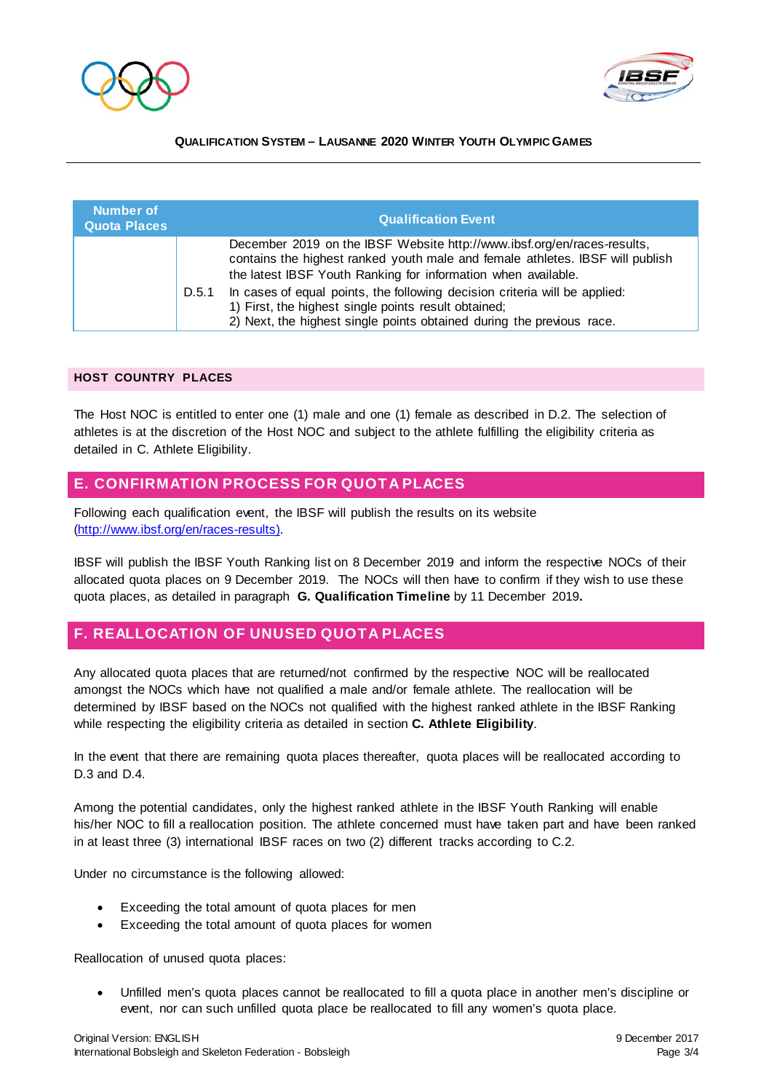



| <b>Number of</b><br><b>Quota Places</b> |       | <b>Qualification Event</b>                                                                                                                                                                                                |  |
|-----------------------------------------|-------|---------------------------------------------------------------------------------------------------------------------------------------------------------------------------------------------------------------------------|--|
|                                         |       | December 2019 on the IBSF Website http://www.ibsf.org/en/races-results,<br>contains the highest ranked youth male and female athletes. IBSF will publish<br>the latest IBSF Youth Ranking for information when available. |  |
|                                         | D.5.1 | In cases of equal points, the following decision criteria will be applied:<br>1) First, the highest single points result obtained;<br>2) Next, the highest single points obtained during the previous race.               |  |

#### **HOST COUNTRY PLACES**

The Host NOC is entitled to enter one (1) male and one (1) female as described in D.2. The selection of athletes is at the discretion of the Host NOC and subject to the athlete fulfilling the eligibility criteria as detailed in C. Athlete Eligibility.

## **E. CONFIRMATION PROCESS FOR QUOTA PLACES**

Following each qualification event, the IBSF will publish the results on its website [\(http://www.ibsf.org/en/races-results\).](http://www.ibsf.org/en/races-results)) 

IBSF will publish the IBSF Youth Ranking list on 8 December 2019 and inform the respective NOCs of their allocated quota places on 9 December 2019. The NOCs will then have to confirm if they wish to use these quota places, as detailed in paragraph **G. Qualification Timeline** by 11 December 2019**.**

## **F. REALLOCATION OF UNUSED QUOTA PLACES**

Any allocated quota places that are returned/not confirmed by the respective NOC will be reallocated amongst the NOCs which have not qualified a male and/or female athlete. The reallocation will be determined by IBSF based on the NOCs not qualified with the highest ranked athlete in the IBSF Ranking while respecting the eligibility criteria as detailed in section **C. Athlete Eligibility**.

In the event that there are remaining quota places thereafter, quota places will be reallocated according to D.3 and D.4.

Among the potential candidates, only the highest ranked athlete in the IBSF Youth Ranking will enable his/her NOC to fill a reallocation position. The athlete concerned must have taken part and have been ranked in at least three (3) international IBSF races on two (2) different tracks according to C.2.

Under no circumstance is the following allowed:

- Exceeding the total amount of quota places for men
- Exceeding the total amount of quota places for women

Reallocation of unused quota places:

• Unfilled men's quota places cannot be reallocated to fill a quota place in another men's discipline or event, nor can such unfilled quota place be reallocated to fill any women's quota place.